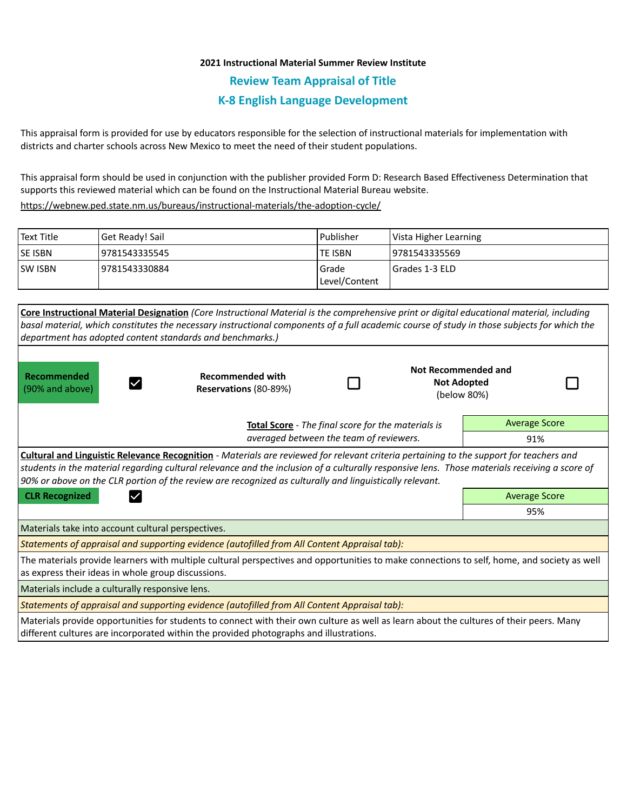## **2021 Instructional Material Summer Review Institute**

**Review Team Appraisal of Title**

## **K-8 English Language Development**

This appraisal form is provided for use by educators responsible for the selection of instructional materials for implementation with districts and charter schools across New Mexico to meet the need of their student populations.

This appraisal form should be used in conjunction with the publisher provided Form D: Research Based Effectiveness Determination that supports this reviewed material which can be found on the Instructional Material Bureau website.

<https://webnew.ped.state.nm.us/bureaus/instructional-materials/the-adoption-cycle/>

| l Text Title | Get Ready! Sail | l Publisher    | Vista Higher Learning |  |
|--------------|-----------------|----------------|-----------------------|--|
| lse isbn     | 9781543335545   | <b>TE ISBN</b> | 19781543335569        |  |
| lsw isbn     | 9781543330884   | Grade          | I Grades 1-3 ELD      |  |
|              |                 | Level/Content  |                       |  |

|                                                                                                                                             | Core Instructional Material Designation (Core Instructional Material is the comprehensive print or digital educational material, including     |                                                    |             |                      |  |  |
|---------------------------------------------------------------------------------------------------------------------------------------------|------------------------------------------------------------------------------------------------------------------------------------------------|----------------------------------------------------|-------------|----------------------|--|--|
|                                                                                                                                             | basal material, which constitutes the necessary instructional components of a full academic course of study in those subjects for which the    |                                                    |             |                      |  |  |
|                                                                                                                                             | department has adopted content standards and benchmarks.)                                                                                      |                                                    |             |                      |  |  |
|                                                                                                                                             |                                                                                                                                                |                                                    |             |                      |  |  |
|                                                                                                                                             | <b>Recommended with</b><br>Reservations (80-89%)                                                                                               |                                                    |             | Not Recommended and  |  |  |
| Recommended                                                                                                                                 |                                                                                                                                                |                                                    |             | <b>Not Adopted</b>   |  |  |
| (90% and above)                                                                                                                             |                                                                                                                                                |                                                    | (below 80%) |                      |  |  |
|                                                                                                                                             |                                                                                                                                                |                                                    |             |                      |  |  |
|                                                                                                                                             |                                                                                                                                                | Total Score - The final score for the materials is |             | <b>Average Score</b> |  |  |
|                                                                                                                                             | averaged between the team of reviewers.                                                                                                        |                                                    |             | 91%                  |  |  |
|                                                                                                                                             | <b>Cultural and Linguistic Relevance Recognition</b> - Materials are reviewed for relevant criteria pertaining to the support for teachers and |                                                    |             |                      |  |  |
|                                                                                                                                             | students in the material regarding cultural relevance and the inclusion of a culturally responsive lens. Those materials receiving a score of  |                                                    |             |                      |  |  |
|                                                                                                                                             | 90% or above on the CLR portion of the review are recognized as culturally and linguistically relevant.                                        |                                                    |             |                      |  |  |
| <b>CLR Recognized</b>                                                                                                                       |                                                                                                                                                |                                                    |             | <b>Average Score</b> |  |  |
|                                                                                                                                             |                                                                                                                                                |                                                    |             | 95%                  |  |  |
| Materials take into account cultural perspectives.                                                                                          |                                                                                                                                                |                                                    |             |                      |  |  |
|                                                                                                                                             | Statements of appraisal and supporting evidence (autofilled from All Content Appraisal tab):                                                   |                                                    |             |                      |  |  |
| The materials provide learners with multiple cultural perspectives and opportunities to make connections to self, home, and society as well |                                                                                                                                                |                                                    |             |                      |  |  |
| as express their ideas in whole group discussions.                                                                                          |                                                                                                                                                |                                                    |             |                      |  |  |
| Materials include a culturally responsive lens.                                                                                             |                                                                                                                                                |                                                    |             |                      |  |  |
|                                                                                                                                             | Statements of appraisal and supporting evidence (autofilled from All Content Appraisal tab):                                                   |                                                    |             |                      |  |  |
|                                                                                                                                             | Materials provide opportunities for students to connect with their own culture as well as learn about the cultures of their peers. Many        |                                                    |             |                      |  |  |

different cultures are incorporated within the provided photographs and illustrations.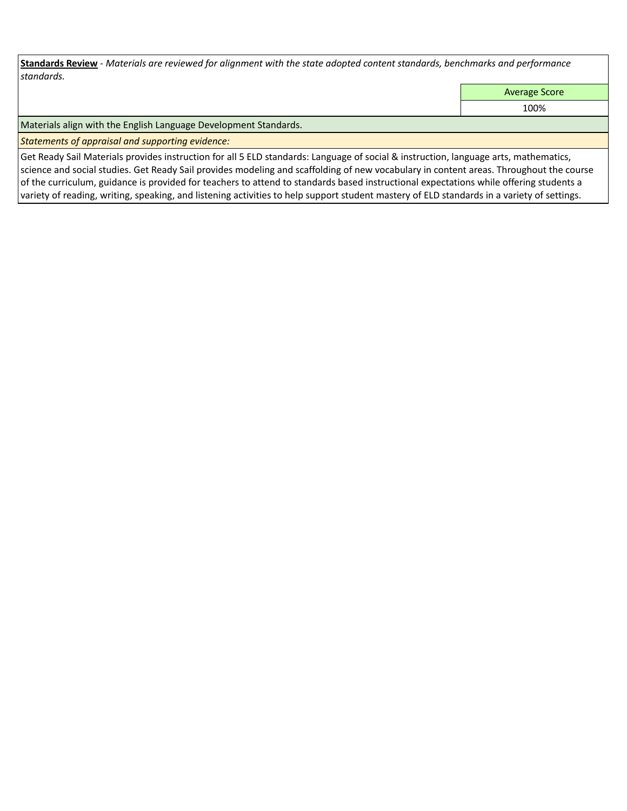**Standards Review** *- Materials are reviewed for alignment with the state adopted content standards, benchmarks and performance standards.*

Average Score

100%

Materials align with the English Language Development Standards.

*Statements of appraisal and supporting evidence:* 

Get Ready Sail Materials provides instruction for all 5 ELD standards: Language of social & instruction, language arts, mathematics, science and social studies. Get Ready Sail provides modeling and scaffolding of new vocabulary in content areas. Throughout the course of the curriculum, guidance is provided for teachers to attend to standards based instructional expectations while offering students a variety of reading, writing, speaking, and listening activities to help support student mastery of ELD standards in a variety of settings.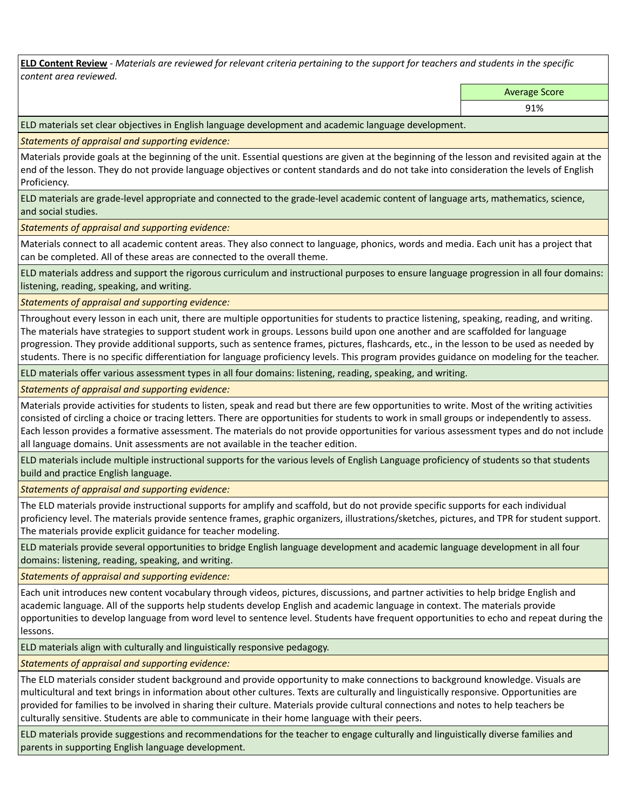**ELD Content Review** *- Materials are reviewed for relevant criteria pertaining to the support for teachers and students in the specific content area reviewed.*

Average Score

ELD materials set clear objectives in English language development and academic language development.

*Statements of appraisal and supporting evidence:* 

Materials provide goals at the beginning of the unit. Essential questions are given at the beginning of the lesson and revisited again at the end of the lesson. They do not provide language objectives or content standards and do not take into consideration the levels of English Proficiency.

ELD materials are grade-level appropriate and connected to the grade-level academic content of language arts, mathematics, science, and social studies.

*Statements of appraisal and supporting evidence:* 

Materials connect to all academic content areas. They also connect to language, phonics, words and media. Each unit has a project that can be completed. All of these areas are connected to the overall theme.

ELD materials address and support the rigorous curriculum and instructional purposes to ensure language progression in all four domains: listening, reading, speaking, and writing.

*Statements of appraisal and supporting evidence:* 

Throughout every lesson in each unit, there are multiple opportunities for students to practice listening, speaking, reading, and writing. The materials have strategies to support student work in groups. Lessons build upon one another and are scaffolded for language progression. They provide additional supports, such as sentence frames, pictures, flashcards, etc., in the lesson to be used as needed by students. There is no specific differentiation for language proficiency levels. This program provides guidance on modeling for the teacher.

ELD materials offer various assessment types in all four domains: listening, reading, speaking, and writing.

*Statements of appraisal and supporting evidence:* 

Materials provide activities for students to listen, speak and read but there are few opportunities to write. Most of the writing activities consisted of circling a choice or tracing letters. There are opportunities for students to work in small groups or independently to assess. Each lesson provides a formative assessment. The materials do not provide opportunities for various assessment types and do not include all language domains. Unit assessments are not available in the teacher edition.

ELD materials include multiple instructional supports for the various levels of English Language proficiency of students so that students build and practice English language.

*Statements of appraisal and supporting evidence:* 

The ELD materials provide instructional supports for amplify and scaffold, but do not provide specific supports for each individual proficiency level. The materials provide sentence frames, graphic organizers, illustrations/sketches, pictures, and TPR for student support. The materials provide explicit guidance for teacher modeling.

ELD materials provide several opportunities to bridge English language development and academic language development in all four domains: listening, reading, speaking, and writing.

*Statements of appraisal and supporting evidence:* 

Each unit introduces new content vocabulary through videos, pictures, discussions, and partner activities to help bridge English and academic language. All of the supports help students develop English and academic language in context. The materials provide opportunities to develop language from word level to sentence level. Students have frequent opportunities to echo and repeat during the lessons.

ELD materials align with culturally and linguistically responsive pedagogy.

*Statements of appraisal and supporting evidence:* 

The ELD materials consider student background and provide opportunity to make connections to background knowledge. Visuals are multicultural and text brings in information about other cultures. Texts are culturally and linguistically responsive. Opportunities are provided for families to be involved in sharing their culture. Materials provide cultural connections and notes to help teachers be culturally sensitive. Students are able to communicate in their home language with their peers.

ELD materials provide suggestions and recommendations for the teacher to engage culturally and linguistically diverse families and parents in supporting English language development.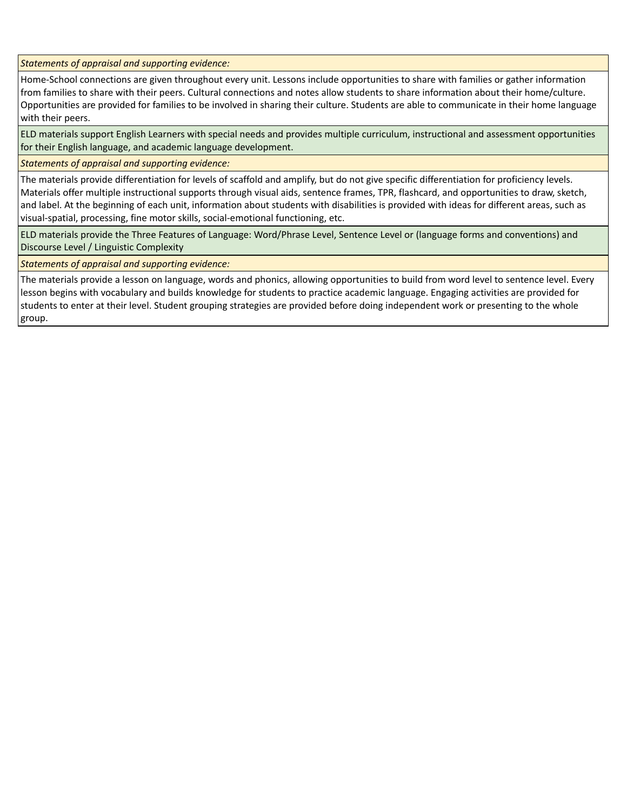*Statements of appraisal and supporting evidence:* 

Home-School connections are given throughout every unit. Lessons include opportunities to share with families or gather information from families to share with their peers. Cultural connections and notes allow students to share information about their home/culture. Opportunities are provided for families to be involved in sharing their culture. Students are able to communicate in their home language with their peers.

ELD materials support English Learners with special needs and provides multiple curriculum, instructional and assessment opportunities for their English language, and academic language development.

*Statements of appraisal and supporting evidence:* 

The materials provide differentiation for levels of scaffold and amplify, but do not give specific differentiation for proficiency levels. Materials offer multiple instructional supports through visual aids, sentence frames, TPR, flashcard, and opportunities to draw, sketch, and label. At the beginning of each unit, information about students with disabilities is provided with ideas for different areas, such as visual-spatial, processing, fine motor skills, social-emotional functioning, etc.

ELD materials provide the Three Features of Language: Word/Phrase Level, Sentence Level or (language forms and conventions) and Discourse Level / Linguistic Complexity

*Statements of appraisal and supporting evidence:* 

The materials provide a lesson on language, words and phonics, allowing opportunities to build from word level to sentence level. Every lesson begins with vocabulary and builds knowledge for students to practice academic language. Engaging activities are provided for students to enter at their level. Student grouping strategies are provided before doing independent work or presenting to the whole group.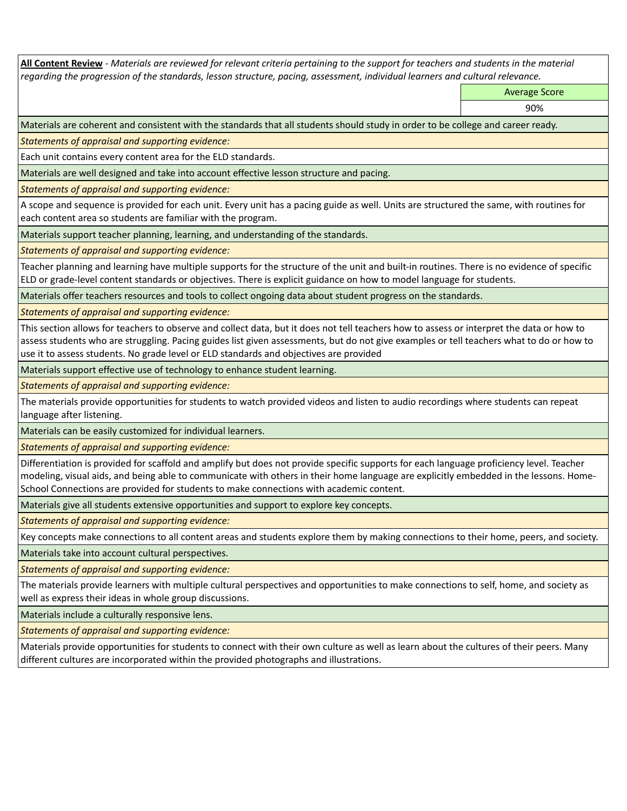**All Content Review** *- Materials are reviewed for relevant criteria pertaining to the support for teachers and students in the material regarding the progression of the standards, lesson structure, pacing, assessment, individual learners and cultural relevance.*

Average Score

90%

Materials are coherent and consistent with the standards that all students should study in order to be college and career ready.

*Statements of appraisal and supporting evidence:*

Each unit contains every content area for the ELD standards.

Materials are well designed and take into account effective lesson structure and pacing.

*Statements of appraisal and supporting evidence:*

A scope and sequence is provided for each unit. Every unit has a pacing guide as well. Units are structured the same, with routines for each content area so students are familiar with the program.

Materials support teacher planning, learning, and understanding of the standards.

*Statements of appraisal and supporting evidence:*

Teacher planning and learning have multiple supports for the structure of the unit and built-in routines. There is no evidence of specific ELD or grade-level content standards or objectives. There is explicit guidance on how to model language for students.

Materials offer teachers resources and tools to collect ongoing data about student progress on the standards.

*Statements of appraisal and supporting evidence:*

This section allows for teachers to observe and collect data, but it does not tell teachers how to assess or interpret the data or how to assess students who are struggling. Pacing guides list given assessments, but do not give examples or tell teachers what to do or how to use it to assess students. No grade level or ELD standards and objectives are provided

Materials support effective use of technology to enhance student learning.

*Statements of appraisal and supporting evidence:*

The materials provide opportunities for students to watch provided videos and listen to audio recordings where students can repeat language after listening.

Materials can be easily customized for individual learners.

*Statements of appraisal and supporting evidence:* 

Differentiation is provided for scaffold and amplify but does not provide specific supports for each language proficiency level. Teacher modeling, visual aids, and being able to communicate with others in their home language are explicitly embedded in the lessons. Home-School Connections are provided for students to make connections with academic content.

Materials give all students extensive opportunities and support to explore key concepts.

*Statements of appraisal and supporting evidence:*

Key concepts make connections to all content areas and students explore them by making connections to their home, peers, and society.

Materials take into account cultural perspectives.

*Statements of appraisal and supporting evidence:*

The materials provide learners with multiple cultural perspectives and opportunities to make connections to self, home, and society as well as express their ideas in whole group discussions.

Materials include a culturally responsive lens.

*Statements of appraisal and supporting evidence:*

Materials provide opportunities for students to connect with their own culture as well as learn about the cultures of their peers. Many different cultures are incorporated within the provided photographs and illustrations.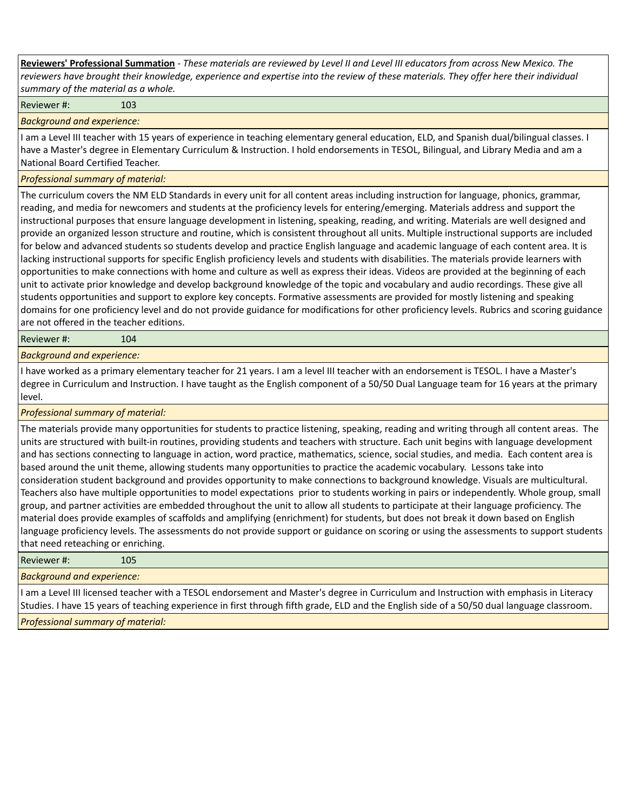**Reviewers' Professional Summation** *- These materials are reviewed by Level II and Level III educators from across New Mexico. The reviewers have brought their knowledge, experience and expertise into the review of these materials. They offer here their individual summary of the material as a whole.*

Reviewer #: 103

*Background and experience:*

I am a Level III teacher with 15 years of experience in teaching elementary general education, ELD, and Spanish dual/bilingual classes. I have a Master's degree in Elementary Curriculum & Instruction. I hold endorsements in TESOL, Bilingual, and Library Media and am a National Board Certified Teacher.

## *Professional summary of material:*

The curriculum covers the NM ELD Standards in every unit for all content areas including instruction for language, phonics, grammar, reading, and media for newcomers and students at the proficiency levels for entering/emerging. Materials address and support the instructional purposes that ensure language development in listening, speaking, reading, and writing. Materials are well designed and provide an organized lesson structure and routine, which is consistent throughout all units. Multiple instructional supports are included for below and advanced students so students develop and practice English language and academic language of each content area. It is lacking instructional supports for specific English proficiency levels and students with disabilities. The materials provide learners with opportunities to make connections with home and culture as well as express their ideas. Videos are provided at the beginning of each unit to activate prior knowledge and develop background knowledge of the topic and vocabulary and audio recordings. These give all students opportunities and support to explore key concepts. Formative assessments are provided for mostly listening and speaking domains for one proficiency level and do not provide guidance for modifications for other proficiency levels. Rubrics and scoring guidance are not offered in the teacher editions.

Reviewer #: 104

*Background and experience:*

I have worked as a primary elementary teacher for 21 years. I am a level III teacher with an endorsement is TESOL. I have a Master's degree in Curriculum and Instruction. I have taught as the English component of a 50/50 Dual Language team for 16 years at the primary level.

*Professional summary of material:*

The materials provide many opportunities for students to practice listening, speaking, reading and writing through all content areas. The units are structured with built-in routines, providing students and teachers with structure. Each unit begins with language development and has sections connecting to language in action, word practice, mathematics, science, social studies, and media. Each content area is based around the unit theme, allowing students many opportunities to practice the academic vocabulary. Lessons take into consideration student background and provides opportunity to make connections to background knowledge. Visuals are multicultural. Teachers also have multiple opportunities to model expectations prior to students working in pairs or independently. Whole group, small group, and partner activities are embedded throughout the unit to allow all students to participate at their language proficiency. The material does provide examples of scaffolds and amplifying (enrichment) for students, but does not break it down based on English language proficiency levels. The assessments do not provide support or guidance on scoring or using the assessments to support students that need reteaching or enriching.

| Reviewer #:                                                                                                                            | 105 |  |  |  |
|----------------------------------------------------------------------------------------------------------------------------------------|-----|--|--|--|
| <b>Background and experience:</b>                                                                                                      |     |  |  |  |
| I am a Level III licensed teacher with a TESOL endorsement and Master's degree in Curriculum and Instruction with emphasis in Literacy |     |  |  |  |

Studies. I have 15 years of teaching experience in first through fifth grade, ELD and the English side of a 50/50 dual language classroom. *Professional summary of material:*